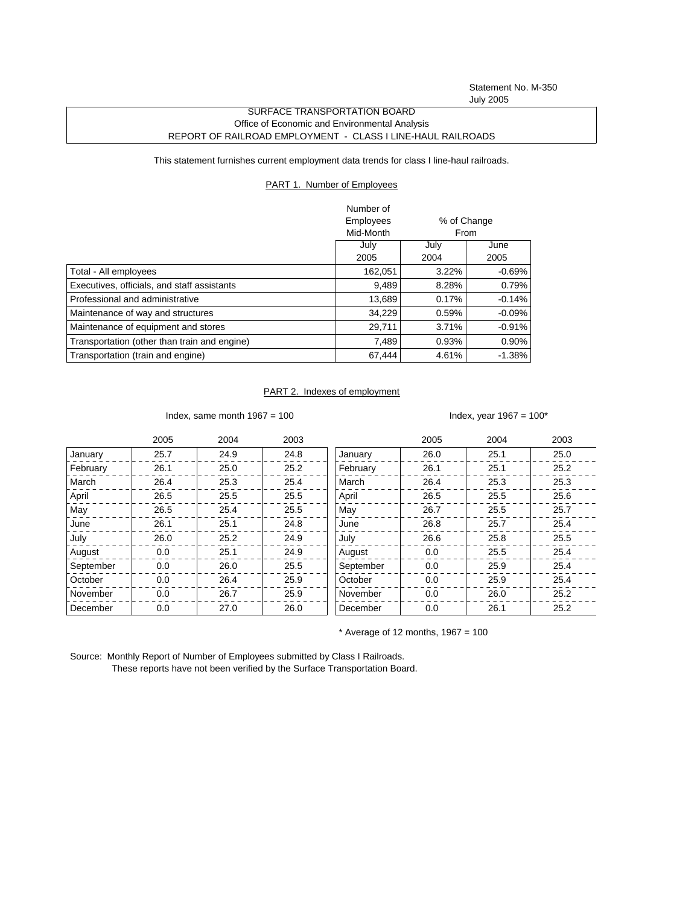Statement No. M-350 July 2005

## SURFACE TRANSPORTATION BOARD Office of Economic and Environmental Analysis REPORT OF RAILROAD EMPLOYMENT - CLASS I LINE-HAUL RAILROADS

This statement furnishes current employment data trends for class I line-haul railroads.

## PART 1. Number of Employees

|                                              | Number of |             |          |
|----------------------------------------------|-----------|-------------|----------|
|                                              | Employees | % of Change |          |
|                                              | Mid-Month |             | From     |
|                                              | July      | July        | June     |
|                                              | 2005      | 2004        | 2005     |
| Total - All employees                        | 162,051   | 3.22%       | $-0.69%$ |
| Executives, officials, and staff assistants  | 9,489     | 8.28%       | 0.79%    |
| Professional and administrative              | 13.689    | 0.17%       | $-0.14%$ |
| Maintenance of way and structures            | 34.229    | 0.59%       | $-0.09%$ |
| Maintenance of equipment and stores          | 29,711    | 3.71%       | $-0.91%$ |
| Transportation (other than train and engine) | 7.489     | 0.93%       | $0.90\%$ |
| Transportation (train and engine)            | 67,444    | 4.61%       | $-1.38%$ |

## PART 2. Indexes of employment

Index, same month  $1967 = 100$  Index, year  $1967 = 100^*$ 

|           | 2005 | 2004 | 2003 |           | 2005 | 2004 | 2003 |
|-----------|------|------|------|-----------|------|------|------|
| January   | 25.7 | 24.9 | 24.8 | January   | 26.0 | 25.1 | 25.0 |
| February  | 26.1 | 25.0 | 25.2 | February  | 26.1 | 25.1 | 25.2 |
| March     | 26.4 | 25.3 | 25.4 | March     | 26.4 | 25.3 | 25.3 |
| April     | 26.5 | 25.5 | 25.5 | April     | 26.5 | 25.5 | 25.6 |
| May       | 26.5 | 25.4 | 25.5 | May       | 26.7 | 25.5 | 25.7 |
| June      | 26.1 | 25.1 | 24.8 | June      | 26.8 | 25.7 | 25.4 |
| July      | 26.0 | 25.2 | 24.9 | July      | 26.6 | 25.8 | 25.5 |
| August    | 0.0  | 25.1 | 24.9 | August    | 0.0  | 25.5 | 25.4 |
| September | 0.0  | 26.0 | 25.5 | September | 0.0  | 25.9 | 25.4 |
| October   | 0.0  | 26.4 | 25.9 | October   | 0.0  | 25.9 | 25.4 |
| November  | 0.0  | 26.7 | 25.9 | November  | 0.0  | 26.0 | 25.2 |
| December  | 0.0  | 27.0 | 26.0 | December  | 0.0  | 26.1 | 25.2 |

 $*$  Average of 12 months, 1967 = 100

Source: Monthly Report of Number of Employees submitted by Class I Railroads. These reports have not been verified by the Surface Transportation Board.